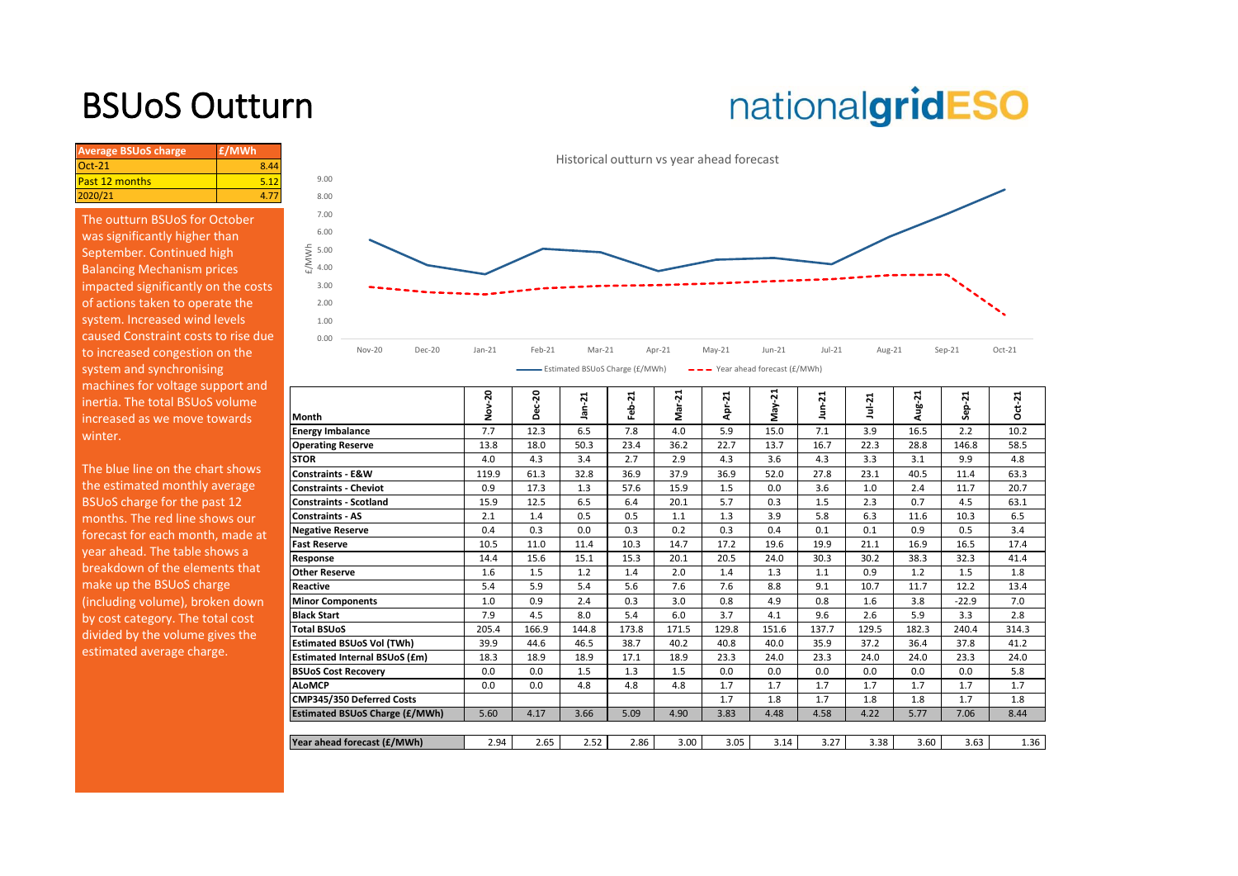# BSUoS Outturn

# nationalgridESO

| <b>Average BSUoS charge</b> | £/MWh |
|-----------------------------|-------|
| $Oct-21$                    |       |
| <b>Past 12 months</b>       |       |
| 2020/21                     |       |

The outturn BSUoS for October was significantly higher than September. Continued high Balancing Mechanism prices impacted significantly on the costs of actions taken to operate the system. Increased wind levels caused Constraint costs to rise due to increased congestion on the system and synchronising machines for voltage support and inertia. The total BSUoS volume increased as we move towards winter.



| machines for voltage support and<br>inertia. The total BSUoS volume |                                       | 20<br>ş | ន     | ដ<br>르 | ř<br>흢 | ಸ<br>Nar<br>Z | Apr-21 | ನ<br>May- | ដុ    | $Jul-21$ | Aug-21 | ដុ<br>န္တ | $ct-21$ |
|---------------------------------------------------------------------|---------------------------------------|---------|-------|--------|--------|---------------|--------|-----------|-------|----------|--------|-----------|---------|
| increased as we move towards                                        | Month                                 |         | ñ     |        |        |               |        |           |       |          |        |           | Ó       |
| winter.                                                             | Energy Imbalance                      | 7.7     | 12.3  | 6.5    | 7.8    | 4.0           | 5.9    | 15.0      | 7.1   | 3.9      | 16.5   | 2.2       | 10.2    |
|                                                                     | <b>Operating Reserve</b>              | 13.8    | 18.0  | 50.3   | 23.4   | 36.2          | 22.7   | 13.7      | 16.7  | 22.3     | 28.8   | 146.8     | 58.5    |
|                                                                     | <b>STOR</b>                           | 4.0     | 4.3   | 3.4    | 2.7    | 2.9           | 4.3    | 3.6       | 4.3   | 3.3      | 3.1    | 9.9       | 4.8     |
| The blue line on the chart shows                                    | <b>Constraints - E&amp;W</b>          | 119.9   | 61.3  | 32.8   | 36.9   | 37.9          | 36.9   | 52.0      | 27.8  | 23.1     | 40.5   | 11.4      | 63.3    |
| the estimated monthly average                                       | <b>Constraints - Cheviot</b>          | 0.9     | 17.3  | 1.3    | 57.6   | 15.9          | 1.5    | 0.0       | 3.6   | 1.0      | 2.4    | 11.7      | 20.7    |
| BSUoS charge for the past 12                                        | <b>Constraints - Scotland</b>         | 15.9    | 12.5  | 6.5    | 6.4    | 20.1          | 5.7    | 0.3       | 1.5   | 2.3      | 0.7    | 4.5       | 63.1    |
| months. The red line shows our                                      | Constraints - AS                      | 2.1     | 1.4   | 0.5    | 0.5    | 1.1           | 1.3    | 3.9       | 5.8   | 6.3      | 11.6   | 10.3      | 6.5     |
| forecast for each month, made at                                    | <b>Negative Reserve</b>               | 0.4     | 0.3   | 0.0    | 0.3    | 0.2           | 0.3    | 0.4       | 0.1   | 0.1      | 0.9    | 0.5       | 3.4     |
| year ahead. The table shows a                                       | <b>Fast Reserve</b>                   | 10.5    | 11.0  | 11.4   | 10.3   | 14.7          | 17.2   | 19.6      | 19.9  | 21.1     | 16.9   | 16.5      | 17.4    |
|                                                                     | Response                              | 14.4    | 15.6  | 15.1   | 15.3   | 20.1          | 20.5   | 24.0      | 30.3  | 30.2     | 38.3   | 32.3      | 41.4    |
| breakdown of the elements that                                      | <b>Other Reserve</b>                  | 1.6     | 1.5   | 1.2    | 1.4    | 2.0           | 1.4    | 1.3       | 1.1   | 0.9      | 1.2    | 1.5       | 1.8     |
| make up the BSUoS charge                                            | <b>Reactive</b>                       | 5.4     | 5.9   | 5.4    | 5.6    | 7.6           | 7.6    | 8.8       | 9.1   | 10.7     | 11.7   | 12.2      | 13.4    |
| (including volume), broken down                                     | <b>Minor Components</b>               | 1.0     | 0.9   | 2.4    | 0.3    | 3.0           | 0.8    | 4.9       | 0.8   | 1.6      | 3.8    | $-22.9$   | 7.0     |
| by cost category. The total cost                                    | <b>Black Start</b>                    | 7.9     | 4.5   | 8.0    | 5.4    | 6.0           | 3.7    | 4.1       | 9.6   | 2.6      | 5.9    | 3.3       | 2.8     |
| divided by the volume gives the                                     | <b>Total BSUoS</b>                    | 205.4   | 166.9 | 144.8  | 173.8  | 171.5         | 129.8  | 151.6     | 137.7 | 129.5    | 182.3  | 240.4     | 314.3   |
|                                                                     | <b>Estimated BSUoS Vol (TWh)</b>      | 39.9    | 44.6  | 46.5   | 38.7   | 40.2          | 40.8   | 40.0      | 35.9  | 37.2     | 36.4   | 37.8      | 41.2    |
| estimated average charge.                                           | <b>Estimated Internal BSUoS (£m)</b>  | 18.3    | 18.9  | 18.9   | 17.1   | 18.9          | 23.3   | 24.0      | 23.3  | 24.0     | 24.0   | 23.3      | 24.0    |
|                                                                     | <b>BSUoS Cost Recovery</b>            | 0.0     | 0.0   | 1.5    | 1.3    | 1.5           | 0.0    | 0.0       | 0.0   | 0.0      | 0.0    | 0.0       | 5.8     |
|                                                                     | <b>ALoMCP</b>                         | 0.0     | 0.0   | 4.8    | 4.8    | 4.8           | 1.7    | 1.7       | 1.7   | 1.7      | 1.7    | 1.7       | 1.7     |
|                                                                     | CMP345/350 Deferred Costs             |         |       |        |        |               | 1.7    | 1.8       | 1.7   | 1.8      | 1.8    | 1.7       | 1.8     |
|                                                                     | <b>Estimated BSUoS Charge (£/MWh)</b> | 5.60    | 4.17  | 3.66   | 5.09   | 4.90          | 3.83   | 4.48      | 4.58  | 4.22     | 5.77   | 7.06      | 8.44    |
|                                                                     |                                       |         |       |        |        |               |        |           |       |          |        |           |         |
|                                                                     | Year ahead forecast (£/MWh)           | 2.94    | 2.65  | 2.52   | 2.86   | 3.00          | 3.05   | 3.14      | 3.27  | 3.38     | 3.60   | 3.63      | 1.36    |
|                                                                     |                                       |         |       |        |        |               |        |           |       |          |        |           |         |

Historical outturn vs year ahead forecast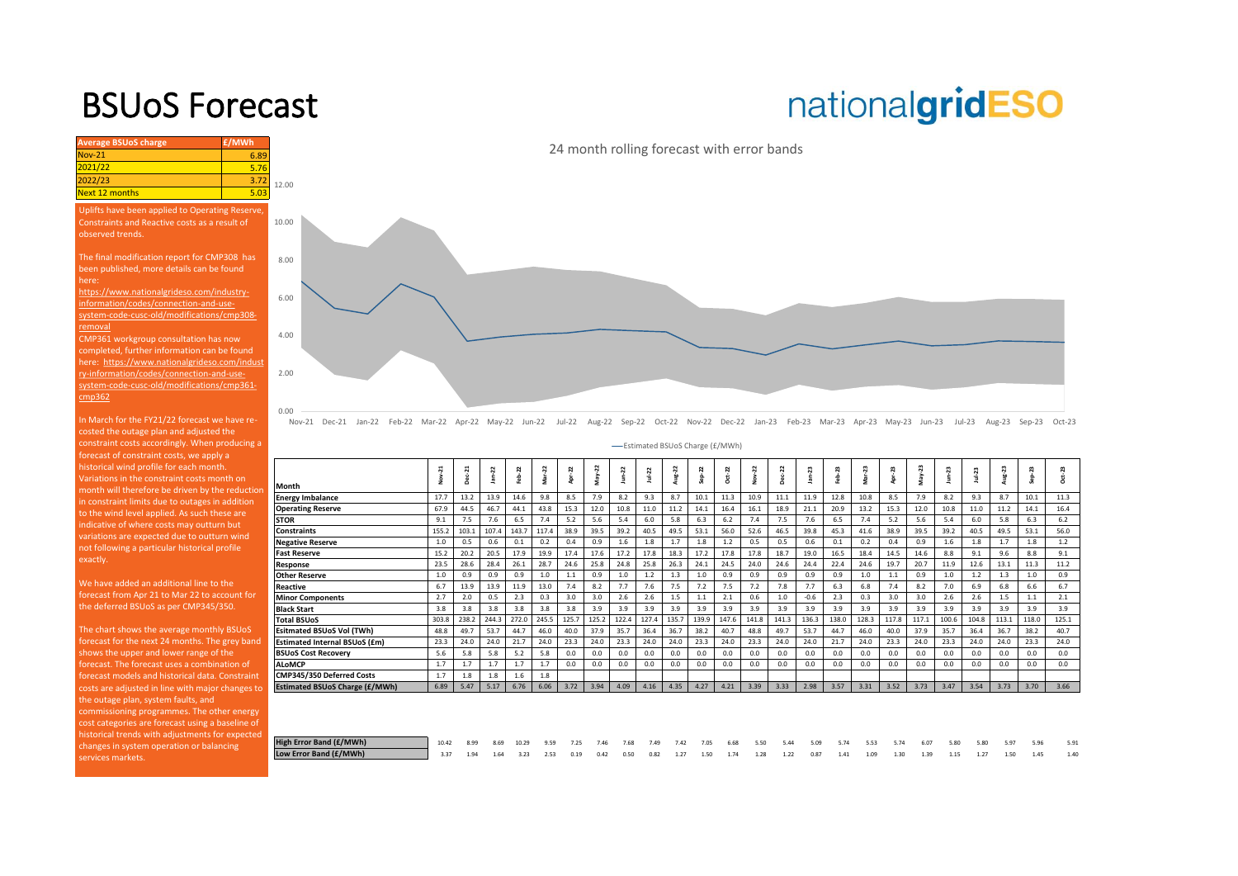## BSUoS Forecast

# nationalgridESO



Nov-21 Dec-21 Jan-22 Feb-22 Mar-22 Apr-22 May-22 Jun-22 Jul-22 Aug-22 Sep-22 Oct-22 Nov-22 Dec-22 Jan-23 Feb-23 Mar-23 Apr-23 May-23 Jun-23 Jul-23 Aug-23 Sep-23 Oct-23

Estimated BSUoS Charge (£/MWh)

|                                       | $\frac{21}{1}$ | Dec-21 | $Jan-22$ | Feb-22 | Mar-22 | Apr-22 | May-22 | $J$ un- $22$ | Jul-22 | Aug-22  | $Sep-22$ | $a - 22$ | Nov-22 | Dec-22 | $Jan-23$ | eb-23 | $Mar-23$ | Apr-23 | May-23 | Jun-23 | $Ju + 23$ | Aug-23 | $Sep-23$ | 23<br>ú<br>Ő |
|---------------------------------------|----------------|--------|----------|--------|--------|--------|--------|--------------|--------|---------|----------|----------|--------|--------|----------|-------|----------|--------|--------|--------|-----------|--------|----------|--------------|
| Month                                 |                |        |          |        |        |        |        |              |        |         |          |          |        |        |          |       |          |        |        |        |           |        |          |              |
| <b>Energy Imbalance</b>               | 17.7           | 13.2   | 13.9     | 14.6   | 9.8    | 8.5    | 7.9    | 8.2          | 9.3    | 8.7     | 10.1     | 11.3     | 10.9   | 11.1   | 11.9     | 12.8  | 10.8     | 8.5    | 7.9    | 8.2    | 9.3       | 8.7    | 10.1     | 11.3         |
| <b>Operating Reserve</b>              | 67.9           | 44.5   | 46.7     | 44.1   | 43.8   | 15.3   | 12.0   | 10.8         | 11.0   | 11.2    | 14.1     | 16.4     | 16.1   | 18.9   | 21.1     | 20.9  | 13.2     | 15.3   | 12.0   | 10.8   | 11.0      | 11.2   | 14.1     | 16.4         |
| <b>STOR</b>                           | 9.1            | 7.5    | 7.6      | 6.5    | 7.4    | 5.2    | 5.6    | 5.4          | 6.0    | 5.8     | 6.3      | 6.2      | 7.4    | 7.5    | 7.6      | 6.5   | 7.4      | 5.2    | 5.6    | 5.4    | 6.0       | 5.8    | 6.3      | 6.2          |
| <b>Constraints</b>                    | 155.2          | 103.1  | 107.4    | 143.7  | 117.4  | 38.9   | 39.5   | 39.2         | 40.5   | 49.5    | 53.1     | 56.0     | 52.6   | 46.5   | 39.8     | 45.3  | 41.6     | 38.9   | 39.5   | 39.2   | 40.5      | 49.5   | 53.1     | 56.0         |
| <b>Negative Reserve</b>               | 1.0            | 0.5    | 0.6      | 0.1    | 0.2    | 0.4    | 0.9    | 1.6          | 1.8    | 1.7     | 1.8      | 1.2      | 0.5    | 0.5    | 0.6      | 0.1   | 0.2      | 0.4    | 0.9    | 1.6    | 1.8       | 1.7    | 1.8      | 1.2          |
| <b>Fast Reserve</b>                   | 15.2           | 20.2   | 20.5     | 17.9   | 19.9   | 17.4   | 17.6   | 17.2         | 17.8   | 18.3    | 17.2     | 17.8     | 17.8   | 18.7   | 19.0     | 16.5  | 18.4     | 14.5   | 14.6   | 8.8    | 9.1       | 9.6    | 8.8      | 9.1          |
| Response                              | 23.5           | 28.6   | 28.4     | 26.1   | 28.7   | 24.6   | 25.8   | 24.8         | 25.8   | 26.3    | 24.1     | 24.5     | 24.0   | 24.6   | 24.4     | 22.4  | 24.6     | 19.7   | 20.7   | 11.9   | 12.6      | 13.1   | 11.3     | 11.2         |
| <b>Other Reserve</b>                  | 1.0            | 0.9    | 0.9      | 0.9    | 1.0    | $1.1$  | 0.9    | $1.0$        | 1.2    | 1.3     | 1.0      | 0.9      | 0.9    | 0.9    | 0.9      | 0.9   | 1.0      | 1.1    | 0.9    | 1.0    | 1.2       | 1.3    | 1.0      | 0.9          |
| Reactive                              | 6.7            | 13.9   | 13.9     | 11.9   | 13.0   | 7.4    | 8.2    | 7.7          | 7.6    | 7.5     | 7.2      | 7.5      | 7.2    | 7.8    | 7.7      | 6.3   | 6.8      | 7.4    | 8.2    | 7.0    | 6.9       | 6.8    | 6.6      | 6.7          |
| <b>Minor Components</b>               | 2.7            | 2.0    | 0.5      | 2.3    | 0.3    | 3.0    | 3.0    | 2.6          | 2.6    | $1.5\,$ | 1.1      | 2.1      | 0.6    | 1.0    | $-0.6$   | 2.3   | 0.3      | 3.0    | 3.0    | 2.6    | 2.6       | 1.5    | 1.1      | 2.1          |
| <b>Black Start</b>                    | 3.8            | 3.8    | 3.8      | 3.8    | 3.8    | 3.8    | 3.9    | 3.9          | 3.9    | 3.9     | 3.9      | 3.9      | 3.9    | 3.9    | 3.9      | 3.9   | 3.9      | 3.9    | 3.9    | 3.9    | 3.9       | 3.9    | 3.9      | 3.9          |
| <b>Total BSUoS</b>                    | 303.8          | 238.2  | 244.3    | 272.0  | 245.5  | 125.7  | 125.2  | 122.4        | 127.4  | 135.7   | 139.9    | 147.6    | 141.8  | 141.3  | 136.3    | 138.0 | 128.3    | 117.8  | 117.1  | 100.6  | 104.8     | 113.1  | 118.0    | 125.1        |
| Esitmated BSUoS Vol (TWh)             | 48.8           | 49.7   | 53.7     | 44.7   | 46.0   | 40.0   | 37.9   | 35.7         | 36.4   | 36.7    | 38.2     | 40.7     | 48.8   | 49.7   | 53.7     | 44.7  | 46.0     | 40.0   | 37.9   | 35.7   | 36.4      | 36.7   | 38.2     | 40.7         |
| Estimated Internal BSUoS (£m)         | 23.3           | 24.0   | 24.0     | 21.7   | 24.0   | 23.3   | 24.0   | 23.3         | 24.0   | 24.0    | 23.3     | 24.0     | 23.3   | 24.0   | 24.0     | 21.7  | 24.0     | 23.3   | 24.0   | 23.3   | 24.0      | 24.0   | 23.3     | 24.0         |
| <b>BSUoS Cost Recovery</b>            | 5.6            | 5.8    | 5.8      | 5.2    | 5.8    | 0.0    | 0.0    | 0.0          | 0.0    | 0.0     | 0.0      | 0.0      | 0.0    | 0.0    | 0.0      | 0.0   | 0.0      | 0.0    | 0.0    | 0.0    | 0.0       | 0.0    | 0.0      | 0.0          |
| <b>ALoMCP</b>                         | 1.7            | 1.7    | 1.7      | 1.7    | 1.7    | 0.0    | 0.0    | 0.0          | 0.0    | 0.0     | 0.0      | 0.0      | 0.0    | 0.0    | 0.0      | 0.0   | 0.0      | 0.0    | 0.0    | 0.0    | 0.0       | 0.0    | 0.0      | 0.0          |
| CMP345/350 Deferred Costs             | 1.7            | 1.8    | 1.8      | 1.6    | 1.8    |        |        |              |        |         |          |          |        |        |          |       |          |        |        |        |           |        |          |              |
| <b>Estimated BSUoS Charge (£/MWh)</b> | 6.89           | 5.47   | 5.17     | 6.76   | 6.06   | 3.72   | 3.94   | 4.09         | 4.16   | 4.35    | 4.27     | 4.21     | 3.39   | 3.33   | 2.98     | 3.57  | 3.31     | 3.52   | 3.73   | 3.47   | 3.54      | 3.73   | 3.70     | 3.66         |
|                                       |                |        |          |        |        |        |        |              |        |         |          |          |        |        |          |       |          |        |        |        |           |        |          |              |
|                                       |                |        |          |        |        |        |        |              |        |         |          |          |        |        |          |       |          |        |        |        |           |        |          |              |

| High Error Band (£/MWh) | 10.42 8.99 8.69 10.29 9.59 7.25 7.46 7.68 7.49 7.42 7.05 6.68 5.50 5.44 5.09 5.74 5.53 5.74 6.07 5.80 5.80 5.97    |  |  |  |  |  |  |  |  |  |  |  | 5.91 |
|-------------------------|--------------------------------------------------------------------------------------------------------------------|--|--|--|--|--|--|--|--|--|--|--|------|
| Low Error Band (£/MWh)  | 3.37 1.94 1.64 3.23 2.53 0.19 0.42 0.50 0.82 1.27 1.50 1.74 1.28 1.22 0.87 1.41 1.09 1.30 1.39 1.15 1.27 1.50 1.45 |  |  |  |  |  |  |  |  |  |  |  | 1.40 |

**Average BSUoS charge £/MWh £/MWh** Nov-21 6.89<br>2021/22 5.76

#### Uplifts have been applied to Operating Reserve, Constraints and Reactive costs as a result of observed trends.

Next 12 months

The final modification report for CMP308 has been published, more details can be found here:

https://www.nationalgrideso.com/industryinformation/codes/connection-and-usesystem-code-cusc-old/modifications/cmp308 removal

CMP361 workgroup consultation has now completed, further information can be found here: https://www.nationalgrideso.com/indust ry-information/codes/connection-and-usesystem-code-cusc-old/modifications/cmp361  $m<sub>0</sub>362$ 

In March for the FY21/22 forecast we have recosted the outage plan and adjusted the constraint costs accordingly. When producing a forecast of constraint costs, we apply a historical wind profile for each month. Variations in the constraint costs month on month will therefore be driven by the reductio in constraint limits due to outages in addition to the wind level applied. As such these are indicative of where costs may outturn but variations are expected due to outturn wind not following a particular historical profile exactly.

We have added an additional line to the forecast from Apr 21 to Mar 22 to account for the deferred BSUoS as per CMP345/350.

The chart shows the average monthly BSUoS forecast for the next 24 months. The grey band shows the upper and lower range of the forecast. The forecast uses a combination of forecast models and historical data. Constraint costs are adjusted in line with major changes to  $\Box$ the outage plan, system faults, and commissioning programmes. The other energy cost categories are forecast using a baseline of historical trends with adjustments for expected changes in system operation or balancing services markets.